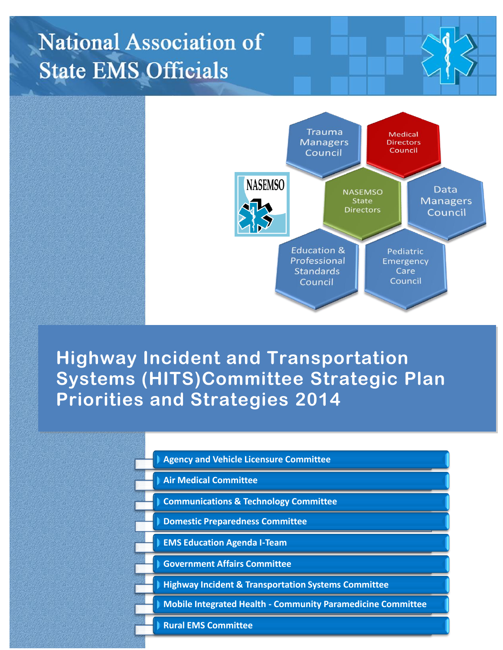# **National Association of State EMS Officials**



## **Highway Incident and Transportation Systems (HITS)Committee Strategic Plan Priorities and Strategies 2014**

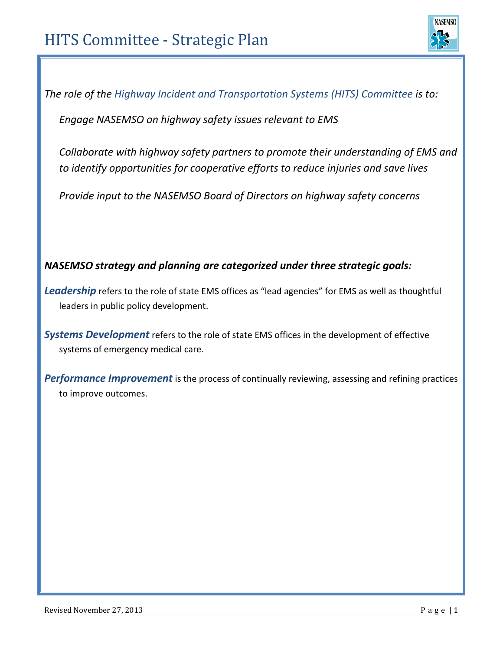

*The role of the Highway Incident and Transportation Systems (HITS) Committee is to:*

*Engage NASEMSO on highway safety issues relevant to EMS*

*Collaborate with highway safety partners to promote their understanding of EMS and to identify opportunities for cooperative efforts to reduce injuries and save lives*

*Provide input to the NASEMSO Board of Directors on highway safety concerns*

#### *NASEMSO strategy and planning are categorized under three strategic goals:*

Leadership refers to the role of state EMS offices as "lead agencies" for EMS as well as thoughtful leaders in public policy development.

*Systems Development* refers to the role of state EMS offices in the development of effective systems of emergency medical care.

*Performance Improvement* is the process of continually reviewing, assessing and refining practices to improve outcomes.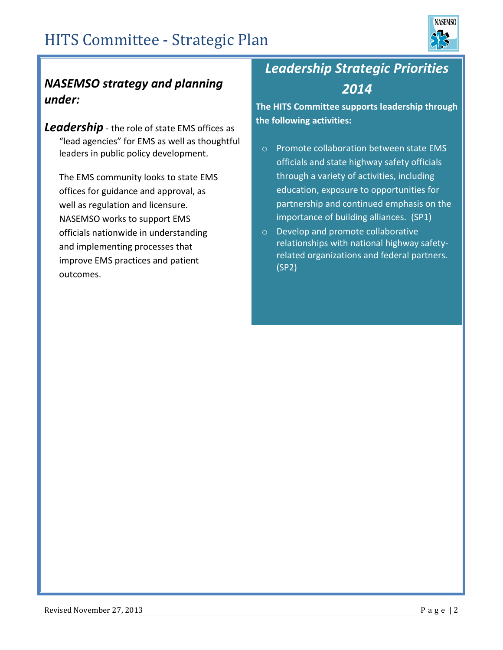

### *NASEMSO strategy and planning under:*

*Leadership* - the role of state EMS offices as "lead agencies" for EMS as well as thoughtful leaders in public policy development.

The EMS community looks to state EMS offices for guidance and approval, as well as regulation and licensure. NASEMSO works to support EMS officials nationwide in understanding and implementing processes that improve EMS practices and patient outcomes.

## *Leadership Strategic Priorities 2014*

**The HITS Committee supports leadership through the following activities:**

- o Promote collaboration between state EMS officials and state highway safety officials through a variety of activities, including education, exposure to opportunities for partnership and continued emphasis on the importance of building alliances. (SP1)
- o Develop and promote collaborative relationships with national highway safetyrelated organizations and federal partners. (SP2)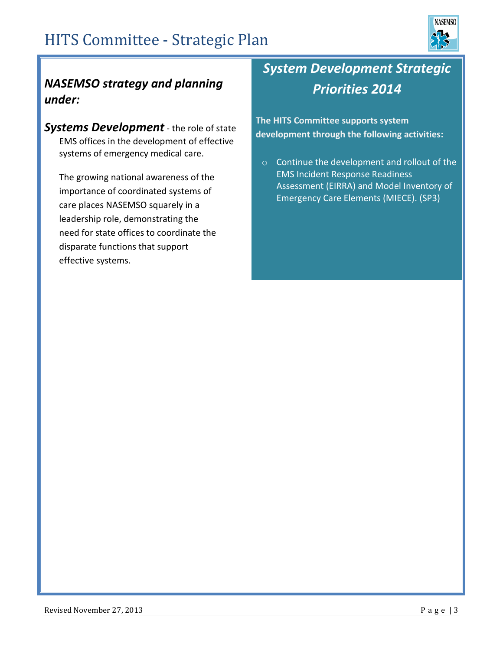

### *NASEMSO strategy and planning under:*

*Systems Development* - the role of state EMS offices in the development of effective systems of emergency medical care.

The growing national awareness of the importance of coordinated systems of care places NASEMSO squarely in a leadership role, demonstrating the need for state offices to coordinate the disparate functions that support effective systems.

## *System Development Strategic Priorities 2014*

**The HITS Committee supports system development through the following activities:**

o Continue the development and rollout of the EMS Incident Response Readiness Assessment (EIRRA) and Model Inventory of Emergency Care Elements (MIECE). (SP3)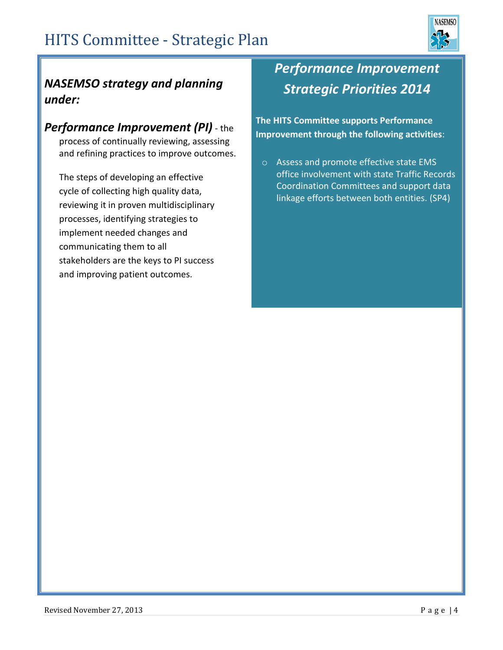

### *NASEMSO strategy and planning under:*

### *Performance Improvement (PI)* - the

process of continually reviewing, assessing and refining practices to improve outcomes.

The steps of developing an effective cycle of collecting high quality data, reviewing it in proven multidisciplinary processes, identifying strategies to implement needed changes and communicating them to all stakeholders are the keys to PI success and improving patient outcomes.

## *Performance Improvement Strategic Priorities 2014*

**The HITS Committee supports Performance Improvement through the following activities**:

o Assess and promote effective state EMS office involvement with state Traffic Records Coordination Committees and support data linkage efforts between both entities. (SP4)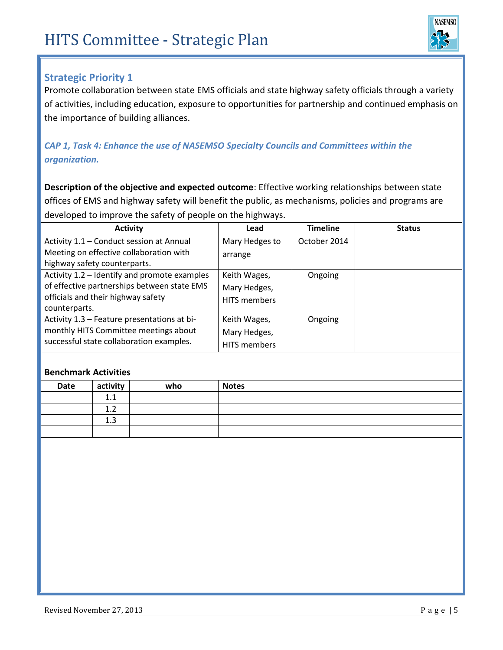

#### **Strategic Priority 1**

Promote collaboration between state EMS officials and state highway safety officials through a variety of activities, including education, exposure to opportunities for partnership and continued emphasis on the importance of building alliances.

#### *CAP 1, Task 4: Enhance the use of NASEMSO Specialty Councils and Committees within the organization.*

**Description of the objective and expected outcome**: Effective working relationships between state offices of EMS and highway safety will benefit the public, as mechanisms, policies and programs are developed to improve the safety of people on the highways.

| <b>Activity</b>                              | Lead                | <b>Timeline</b> | <b>Status</b> |
|----------------------------------------------|---------------------|-----------------|---------------|
| Activity 1.1 - Conduct session at Annual     | Mary Hedges to      | October 2014    |               |
| Meeting on effective collaboration with      | arrange             |                 |               |
| highway safety counterparts.                 |                     |                 |               |
| Activity 1.2 - Identify and promote examples | Keith Wages,        | Ongoing         |               |
| of effective partnerships between state EMS  | Mary Hedges,        |                 |               |
| officials and their highway safety           | <b>HITS</b> members |                 |               |
| counterparts.                                |                     |                 |               |
| Activity 1.3 - Feature presentations at bi-  | Keith Wages,        | Ongoing         |               |
| monthly HITS Committee meetings about        | Mary Hedges,        |                 |               |
| successful state collaboration examples.     | <b>HITS members</b> |                 |               |

| Date | activity                     | who | <b>Notes</b> |
|------|------------------------------|-----|--------------|
|      | -1<br>ᆠᆞᆠ                    |     |              |
|      | $\mathbf{\Gamma}$<br><b></b> |     |              |
|      | 1 <sub>2</sub><br>∸∙         |     |              |
|      |                              |     |              |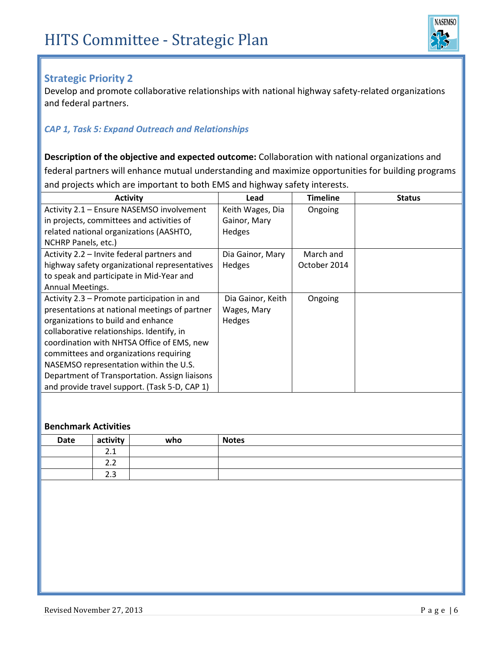

#### **Strategic Priority 2**

Develop and promote collaborative relationships with national highway safety-related organizations and federal partners.

#### *CAP 1, Task 5: Expand Outreach and Relationships*

**Description of the objective and expected outcome:** Collaboration with national organizations and federal partners will enhance mutual understanding and maximize opportunities for building programs and projects which are important to both EMS and highway safety interests.

| <b>Activity</b>                               | Lead              | <b>Timeline</b> | <b>Status</b> |
|-----------------------------------------------|-------------------|-----------------|---------------|
| Activity 2.1 - Ensure NASEMSO involvement     | Keith Wages, Dia  | Ongoing         |               |
| in projects, committees and activities of     | Gainor, Mary      |                 |               |
| related national organizations (AASHTO,       | <b>Hedges</b>     |                 |               |
| NCHRP Panels, etc.)                           |                   |                 |               |
| Activity 2.2 - Invite federal partners and    | Dia Gainor, Mary  | March and       |               |
| highway safety organizational representatives | Hedges            | October 2014    |               |
| to speak and participate in Mid-Year and      |                   |                 |               |
| Annual Meetings.                              |                   |                 |               |
| Activity 2.3 – Promote participation in and   | Dia Gainor, Keith | Ongoing         |               |
| presentations at national meetings of partner | Wages, Mary       |                 |               |
| organizations to build and enhance            | <b>Hedges</b>     |                 |               |
| collaborative relationships. Identify, in     |                   |                 |               |
| coordination with NHTSA Office of EMS, new    |                   |                 |               |
| committees and organizations requiring        |                   |                 |               |
| NASEMSO representation within the U.S.        |                   |                 |               |
| Department of Transportation. Assign liaisons |                   |                 |               |
| and provide travel support. (Task 5-D, CAP 1) |                   |                 |               |

| <b>Date</b> | activity                              | who | <b>Notes</b> |
|-------------|---------------------------------------|-----|--------------|
|             | $\overline{\phantom{a}}$<br>$\sim$ .1 |     |              |
|             | ົ<br>ے ۔                              |     |              |
|             | າາ<br>د.ء                             |     |              |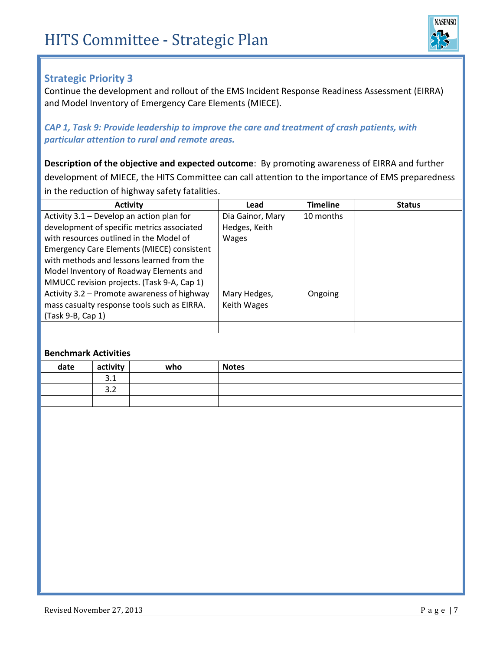

#### **Strategic Priority 3**

Continue the development and rollout of the EMS Incident Response Readiness Assessment (EIRRA) and Model Inventory of Emergency Care Elements (MIECE).

#### *CAP 1, Task 9: Provide leadership to improve the care and treatment of crash patients, with particular attention to rural and remote areas.*

**Description of the objective and expected outcome**: By promoting awareness of EIRRA and further development of MIECE, the HITS Committee can call attention to the importance of EMS preparedness in the reduction of highway safety fatalities.

| <b>Activity</b>                                   | Lead             | <b>Timeline</b> | <b>Status</b> |
|---------------------------------------------------|------------------|-----------------|---------------|
| Activity 3.1 - Develop an action plan for         | Dia Gainor, Mary | 10 months       |               |
| development of specific metrics associated        | Hedges, Keith    |                 |               |
| with resources outlined in the Model of           | <b>Wages</b>     |                 |               |
| <b>Emergency Care Elements (MIECE) consistent</b> |                  |                 |               |
| with methods and lessons learned from the         |                  |                 |               |
| Model Inventory of Roadway Elements and           |                  |                 |               |
| MMUCC revision projects. (Task 9-A, Cap 1)        |                  |                 |               |
| Activity 3.2 - Promote awareness of highway       | Mary Hedges,     | Ongoing         |               |
| mass casualty response tools such as EIRRA.       | Keith Wages      |                 |               |
| (Task 9-B, Cap 1)                                 |                  |                 |               |
|                                                   |                  |                 |               |

| date | activity             | who | <b>Notes</b> |
|------|----------------------|-----|--------------|
|      | $^{\circ}$ 1<br>J.T  |     |              |
|      | $\sim$ $\sim$<br>ے.د |     |              |
|      |                      |     |              |